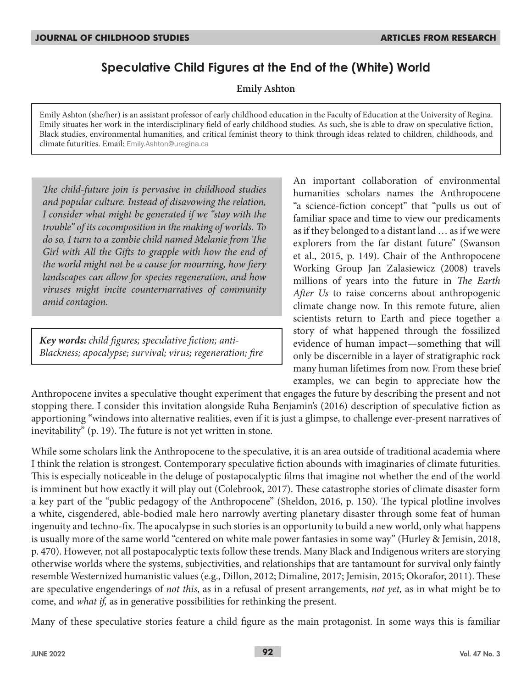# **Speculative Child Figures at the End of the (White) World**

**Emily Ashton**

Emily Ashton (she/her) is an assistant professor of early childhood education in the Faculty of Education at the University of Regina. Emily situates her work in the interdisciplinary field of early childhood studies. As such, she is able to draw on speculative fiction, Black studies, environmental humanities, and critical feminist theory to think through ideas related to children, childhoods, and climate futurities. Email: Emily.Ashton@uregina.ca

*The child-future join is pervasive in childhood studies and popular culture. Instead of disavowing the relation, I consider what might be generated if we "stay with the trouble" of its cocomposition in the making of worlds. To do so, I turn to a zombie child named Melanie from The Girl with All the Gifts to grapple with how the end of the world might not be a cause for mourning, how fiery landscapes can allow for species regeneration, and how viruses might incite counternarratives of community amid contagion.*

*Key words: child figures; speculative fiction; anti-Blackness; apocalypse; survival; virus; regeneration; fire* An important collaboration of environmental humanities scholars names the Anthropocene "a science-fiction concept" that "pulls us out of familiar space and time to view our predicaments as if they belonged to a distant land … as if we were explorers from the far distant future" (Swanson et al., 2015, p. 149). Chair of the Anthropocene Working Group Jan Zalasiewicz (2008) travels millions of years into the future in *The Earth After Us* to raise concerns about anthropogenic climate change now*.* In this remote future, alien scientists return to Earth and piece together a story of what happened through the fossilized evidence of human impact—something that will only be discernible in a layer of stratigraphic rock many human lifetimes from now. From these brief examples, we can begin to appreciate how the

Anthropocene invites a speculative thought experiment that engages the future by describing the present and not stopping there. I consider this invitation alongside Ruha Benjamin's (2016) description of speculative fiction as apportioning "windows into alternative realities, even if it is just a glimpse, to challenge ever-present narratives of inevitability" (p. 19). The future is not yet written in stone.

While some scholars link the Anthropocene to the speculative, it is an area outside of traditional academia where I think the relation is strongest. Contemporary speculative fiction abounds with imaginaries of climate futurities. This is especially noticeable in the deluge of postapocalyptic films that imagine not whether the end of the world is imminent but how exactly it will play out (Colebrook, 2017). These catastrophe stories of climate disaster form a key part of the "public pedagogy of the Anthropocene" (Sheldon, 2016, p. 150). The typical plotline involves a white, cisgendered, able-bodied male hero narrowly averting planetary disaster through some feat of human ingenuity and techno-fix. The apocalypse in such stories is an opportunity to build a new world, only what happens is usually more of the same world "centered on white male power fantasies in some way" (Hurley & Jemisin, 2018, p. 470). However, not all postapocalyptic texts follow these trends. Many Black and Indigenous writers are storying otherwise worlds where the systems, subjectivities, and relationships that are tantamount for survival only faintly resemble Westernized humanistic values (e.g., Dillon, 2012; Dimaline, 2017; Jemisin, 2015; Okorafor, 2011). These are speculative engenderings of *not this*, as in a refusal of present arrangements, *not yet,* as in what might be to come, and *what if,* as in generative possibilities for rethinking the present.

Many of these speculative stories feature a child figure as the main protagonist. In some ways this is familiar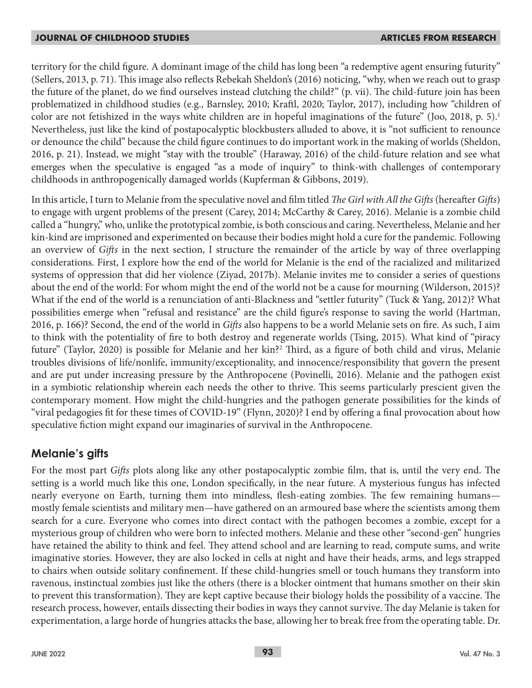territory for the child figure. A dominant image of the child has long been "a redemptive agent ensuring futurity" (Sellers, 2013, p. 71). This image also reflects Rebekah Sheldon's (2016) noticing, "why, when we reach out to grasp the future of the planet, do we find ourselves instead clutching the child?" (p. vii). The child-future join has been problematized in childhood studies (e.g., Barnsley, 2010; Kraftl, 2020; Taylor, 2017), including how "children of color are not fetishized in the ways white children are in hopeful imaginations of the future" (Joo, 2018, p. 5).<sup>1</sup> Nevertheless, just like the kind of postapocalyptic blockbusters alluded to above, it is "not sufficient to renounce or denounce the child" because the child figure continues to do important work in the making of worlds (Sheldon, 2016, p. 21). Instead, we might "stay with the trouble" (Haraway, 2016) of the child-future relation and see what emerges when the speculative is engaged "as a mode of inquiry" to think-with challenges of contemporary childhoods in anthropogenically damaged worlds (Kupferman & Gibbons, 2019).

In this article, I turn to Melanie from the speculative novel and film titled *The Girl with All the Gifts* (hereafter *Gifts*) to engage with urgent problems of the present (Carey, 2014; McCarthy & Carey, 2016). Melanie is a zombie child called a "hungry," who, unlike the prototypical zombie, is both conscious and caring. Nevertheless, Melanie and her kin-kind are imprisoned and experimented on because their bodies might hold a cure for the pandemic. Following an overview of *Gifts* in the next section, I structure the remainder of the article by way of three overlapping considerations. First, I explore how the end of the world for Melanie is the end of the racialized and militarized systems of oppression that did her violence (Ziyad, 2017b). Melanie invites me to consider a series of questions about the end of the world: For whom might the end of the world not be a cause for mourning (Wilderson, 2015)? What if the end of the world is a renunciation of anti-Blackness and "settler futurity" (Tuck & Yang, 2012)? What possibilities emerge when "refusal and resistance" are the child figure's response to saving the world (Hartman, 2016, p. 166)? Second, the end of the world in *Gifts* also happens to be a world Melanie sets on fire. As such, I aim to think with the potentiality of fire to both destroy and regenerate worlds (Tsing, 2015). What kind of "piracy future" (Taylor, 2020) is possible for Melanie and her kin?<sup>2</sup> Third, as a figure of both child and virus, Melanie troubles divisions of life/nonlife, immunity/exceptionality, and innocence/responsibility that govern the present and are put under increasing pressure by the Anthropocene (Povinelli, 2016). Melanie and the pathogen exist in a symbiotic relationship wherein each needs the other to thrive. This seems particularly prescient given the contemporary moment. How might the child-hungries and the pathogen generate possibilities for the kinds of "viral pedagogies fit for these times of COVID-19" (Flynn, 2020)? I end by offering a final provocation about how speculative fiction might expand our imaginaries of survival in the Anthropocene.

## **Melanie's gifts**

For the most part *Gifts* plots along like any other postapocalyptic zombie film, that is, until the very end. The setting is a world much like this one, London specifically, in the near future. A mysterious fungus has infected nearly everyone on Earth, turning them into mindless, flesh-eating zombies. The few remaining humans mostly female scientists and military men—have gathered on an armoured base where the scientists among them search for a cure. Everyone who comes into direct contact with the pathogen becomes a zombie, except for a mysterious group of children who were born to infected mothers. Melanie and these other "second-gen" hungries have retained the ability to think and feel. They attend school and are learning to read, compute sums, and write imaginative stories. However, they are also locked in cells at night and have their heads, arms, and legs strapped to chairs when outside solitary confinement. If these child-hungries smell or touch humans they transform into ravenous, instinctual zombies just like the others (there is a blocker ointment that humans smother on their skin to prevent this transformation). They are kept captive because their biology holds the possibility of a vaccine. The research process, however, entails dissecting their bodies in ways they cannot survive. The day Melanie is taken for experimentation, a large horde of hungries attacks the base, allowing her to break free from the operating table. Dr.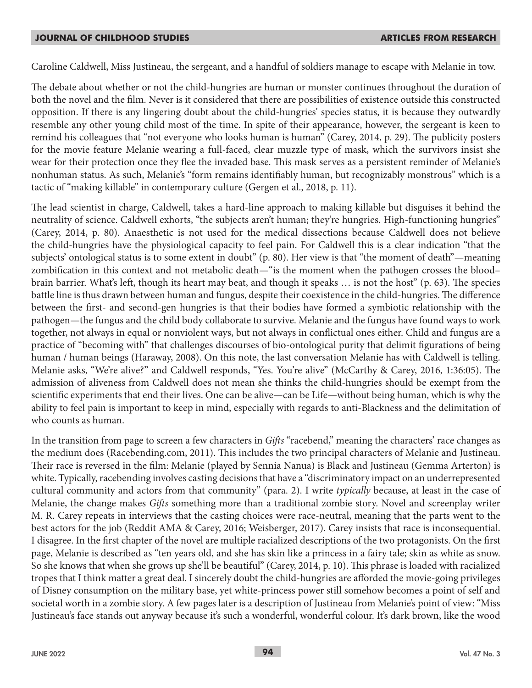Caroline Caldwell, Miss Justineau, the sergeant, and a handful of soldiers manage to escape with Melanie in tow.

The debate about whether or not the child-hungries are human or monster continues throughout the duration of both the novel and the film. Never is it considered that there are possibilities of existence outside this constructed opposition. If there is any lingering doubt about the child-hungries' species status, it is because they outwardly resemble any other young child most of the time. In spite of their appearance, however, the sergeant is keen to remind his colleagues that "not everyone who looks human is human" (Carey, 2014, p. 29). The publicity posters for the movie feature Melanie wearing a full-faced, clear muzzle type of mask, which the survivors insist she wear for their protection once they flee the invaded base. This mask serves as a persistent reminder of Melanie's nonhuman status. As such, Melanie's "form remains identifiably human, but recognizably monstrous" which is a tactic of "making killable" in contemporary culture (Gergen et al., 2018, p. 11).

The lead scientist in charge, Caldwell, takes a hard-line approach to making killable but disguises it behind the neutrality of science. Caldwell exhorts, "the subjects aren't human; they're hungries. High-functioning hungries" (Carey, 2014, p. 80). Anaesthetic is not used for the medical dissections because Caldwell does not believe the child-hungries have the physiological capacity to feel pain. For Caldwell this is a clear indication "that the subjects' ontological status is to some extent in doubt" (p. 80). Her view is that "the moment of death"—meaning zombification in this context and not metabolic death—"is the moment when the pathogen crosses the blood– brain barrier. What's left, though its heart may beat, and though it speaks … is not the host" (p. 63). The species battle line is thus drawn between human and fungus, despite their coexistence in the child-hungries. The difference between the first- and second-gen hungries is that their bodies have formed a symbiotic relationship with the pathogen—the fungus and the child body collaborate to survive. Melanie and the fungus have found ways to work together, not always in equal or nonviolent ways, but not always in conflictual ones either. Child and fungus are a practice of "becoming with" that challenges discourses of bio-ontological purity that delimit figurations of being human / human beings (Haraway, 2008). On this note, the last conversation Melanie has with Caldwell is telling. Melanie asks, "We're alive?" and Caldwell responds, "Yes. You're alive" (McCarthy & Carey, 2016, 1:36:05). The admission of aliveness from Caldwell does not mean she thinks the child-hungries should be exempt from the scientific experiments that end their lives. One can be alive—can be Life—without being human, which is why the ability to feel pain is important to keep in mind, especially with regards to anti-Blackness and the delimitation of who counts as human.

In the transition from page to screen a few characters in *Gifts* "racebend," meaning the characters' race changes as the medium does (Racebending.com, 2011). This includes the two principal characters of Melanie and Justineau. Their race is reversed in the film: Melanie (played by Sennia Nanua) is Black and Justineau (Gemma Arterton) is white. Typically, racebending involves casting decisions that have a "discriminatory impact on an underrepresented cultural community and actors from that community" (para. 2). I write *typically* because, at least in the case of Melanie, the change makes *Gifts* something more than a traditional zombie story. Novel and screenplay writer M. R. Carey repeats in interviews that the casting choices were race-neutral, meaning that the parts went to the best actors for the job (Reddit AMA & Carey, 2016; Weisberger, 2017). Carey insists that race is inconsequential. I disagree. In the first chapter of the novel are multiple racialized descriptions of the two protagonists. On the first page, Melanie is described as "ten years old, and she has skin like a princess in a fairy tale; skin as white as snow. So she knows that when she grows up she'll be beautiful" (Carey, 2014, p. 10). This phrase is loaded with racialized tropes that I think matter a great deal. I sincerely doubt the child-hungries are afforded the movie-going privileges of Disney consumption on the military base, yet white-princess power still somehow becomes a point of self and societal worth in a zombie story. A few pages later is a description of Justineau from Melanie's point of view: "Miss Justineau's face stands out anyway because it's such a wonderful, wonderful colour. It's dark brown, like the wood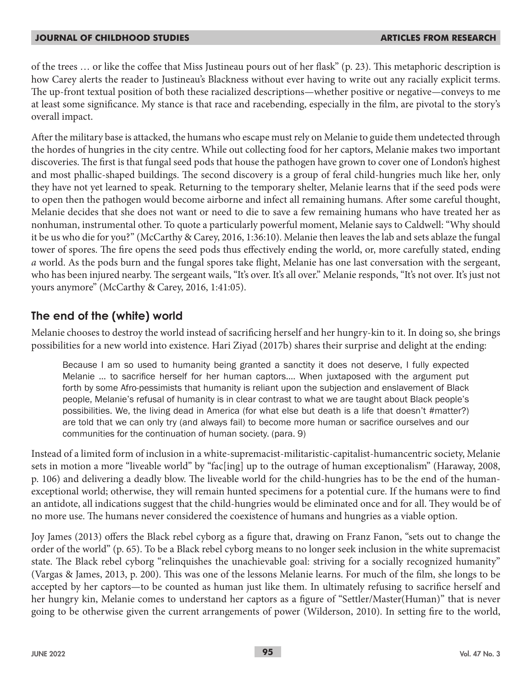of the trees … or like the coffee that Miss Justineau pours out of her flask" (p. 23). This metaphoric description is how Carey alerts the reader to Justineau's Blackness without ever having to write out any racially explicit terms. The up-front textual position of both these racialized descriptions—whether positive or negative—conveys to me at least some significance. My stance is that race and racebending, especially in the film, are pivotal to the story's overall impact.

After the military base is attacked, the humans who escape must rely on Melanie to guide them undetected through the hordes of hungries in the city centre. While out collecting food for her captors, Melanie makes two important discoveries. The first is that fungal seed pods that house the pathogen have grown to cover one of London's highest and most phallic-shaped buildings. The second discovery is a group of feral child-hungries much like her, only they have not yet learned to speak. Returning to the temporary shelter, Melanie learns that if the seed pods were to open then the pathogen would become airborne and infect all remaining humans. After some careful thought, Melanie decides that she does not want or need to die to save a few remaining humans who have treated her as nonhuman, instrumental other. To quote a particularly powerful moment, Melanie says to Caldwell: "Why should it be us who die for you?" (McCarthy & Carey, 2016, 1:36:10). Melanie then leaves the lab and sets ablaze the fungal tower of spores. The fire opens the seed pods thus effectively ending the world, or, more carefully stated, ending *a* world. As the pods burn and the fungal spores take flight, Melanie has one last conversation with the sergeant, who has been injured nearby. The sergeant wails, "It's over. It's all over." Melanie responds, "It's not over. It's just not yours anymore" (McCarthy & Carey, 2016, 1:41:05).

## **The end of the (white) world**

Melanie chooses to destroy the world instead of sacrificing herself and her hungry-kin to it. In doing so, she brings possibilities for a new world into existence. Hari Ziyad (2017b) shares their surprise and delight at the ending:

Because I am so used to humanity being granted a sanctity it does not deserve, I fully expected Melanie … to sacrifice herself for her human captors…. When juxtaposed with the argument put forth by some Afro-pessimists that humanity is reliant upon the subjection and enslavement of Black people, Melanie's refusal of humanity is in clear contrast to what we are taught about Black people's possibilities. We, the living dead in America (for what else but death is a life that doesn't #matter?) are told that we can only try (and always fail) to become more human or sacrifice ourselves and our communities for the continuation of human society. (para. 9)

Instead of a limited form of inclusion in a white-supremacist-militaristic-capitalist-humancentric society, Melanie sets in motion a more "liveable world" by "fac[ing] up to the outrage of human exceptionalism" (Haraway, 2008, p. 106) and delivering a deadly blow. The liveable world for the child-hungries has to be the end of the humanexceptional world; otherwise, they will remain hunted specimens for a potential cure. If the humans were to find an antidote, all indications suggest that the child-hungries would be eliminated once and for all. They would be of no more use. The humans never considered the coexistence of humans and hungries as a viable option.

Joy James (2013) offers the Black rebel cyborg as a figure that, drawing on Franz Fanon, "sets out to change the order of the world" (p. 65). To be a Black rebel cyborg means to no longer seek inclusion in the white supremacist state. The Black rebel cyborg "relinquishes the unachievable goal: striving for a socially recognized humanity" (Vargas & James, 2013, p. 200). This was one of the lessons Melanie learns. For much of the film, she longs to be accepted by her captors—to be counted as human just like them. In ultimately refusing to sacrifice herself and her hungry kin, Melanie comes to understand her captors as a figure of "Settler/Master(Human)" that is never going to be otherwise given the current arrangements of power (Wilderson, 2010). In setting fire to the world,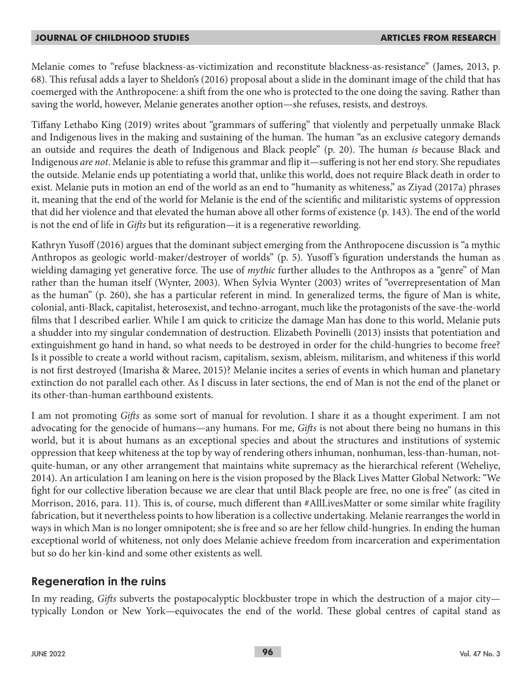Melanie comes to "refuse blackness-as-victimization and reconstitute blackness-as-resistance" (James, 2013, p. 68). This refusal adds a layer to Sheldon's (2016) proposal about a slide in the dominant image of the child that has coemerged with the Anthropocene: a shift from the one who is protected to the one doing the saving. Rather than saving the world, however, Melanie generates another option—she refuses, resists, and destroys.

Tiffany Lethabo King (2019) writes about "grammars of suffering" that violently and perpetually unmake Black and Indigenous lives in the making and sustaining of the human. The human "as an exclusive category demands an outside and requires the death of Indigenous and Black people" (p. 20). The human *is* because Black and Indigenous *are not*. Melanie is able to refuse this grammar and flip it—suffering is not her end story. She repudiates the outside. Melanie ends up potentiating a world that, unlike this world, does not require Black death in order to exist. Melanie puts in motion an end of the world as an end to "humanity as whiteness," as Ziyad (2017a) phrases it, meaning that the end of the world for Melanie is the end of the scientific and militaristic systems of oppression that did her violence and that elevated the human above all other forms of existence (p. 143). The end of the world is not the end of life in *Gifts* but its refiguration—it is a regenerative reworlding.

Kathryn Yusoff (2016) argues that the dominant subject emerging from the Anthropocene discussion is "a mythic Anthropos as geologic world-maker/destroyer of worlds" (p. 5). Yusoff 's figuration understands the human as wielding damaging yet generative force. The use of *mythic* further alludes to the Anthropos as a "genre" of Man rather than the human itself (Wynter, 2003). When Sylvia Wynter (2003) writes of "overrepresentation of Man as the human" (p. 260), she has a particular referent in mind. In generalized terms, the figure of Man is white, colonial, anti-Black, capitalist, heterosexist, and techno-arrogant, much like the protagonists of the save-the-world films that I described earlier. While I am quick to criticize the damage Man has done to this world, Melanie puts a shudder into my singular condemnation of destruction. Elizabeth Povinelli (2013) insists that potentiation and extinguishment go hand in hand, so what needs to be destroyed in order for the child-hungries to become free? Is it possible to create a world without racism, capitalism, sexism, ableism, militarism, and whiteness if this world is not first destroyed (Imarisha & Maree, 2015)? Melanie incites a series of events in which human and planetary extinction do not parallel each other. As I discuss in later sections, the end of Man is not the end of the planet or its other-than-human earthbound existents.

I am not promoting *Gifts* as some sort of manual for revolution. I share it as a thought experiment. I am not advocating for the genocide of humans—any humans. For me, *Gifts* is not about there being no humans in this world, but it is about humans as an exceptional species and about the structures and institutions of systemic oppression that keep whiteness at the top by way of rendering others inhuman, nonhuman, less-than-human, notquite-human, or any other arrangement that maintains white supremacy as the hierarchical referent (Weheliye, 2014). An articulation I am leaning on here is the vision proposed by the Black Lives Matter Global Network: "We fight for our collective liberation because we are clear that until Black people are free, no one is free" (as cited in Morrison, 2016, para. 11). This is, of course, much different than #AllLivesMatter or some similar white fragility fabrication, but it nevertheless points to how liberation is a collective undertaking. Melanie rearranges the world in ways in which Man is no longer omnipotent; she is free and so are her fellow child-hungries. In ending the human exceptional world of whiteness, not only does Melanie achieve freedom from incarceration and experimentation but so do her kin-kind and some other existents as well.

## **Regeneration in the ruins**

In my reading, *Gifts* subverts the postapocalyptic blockbuster trope in which the destruction of a major city typically London or New York—equivocates the end of the world. These global centres of capital stand as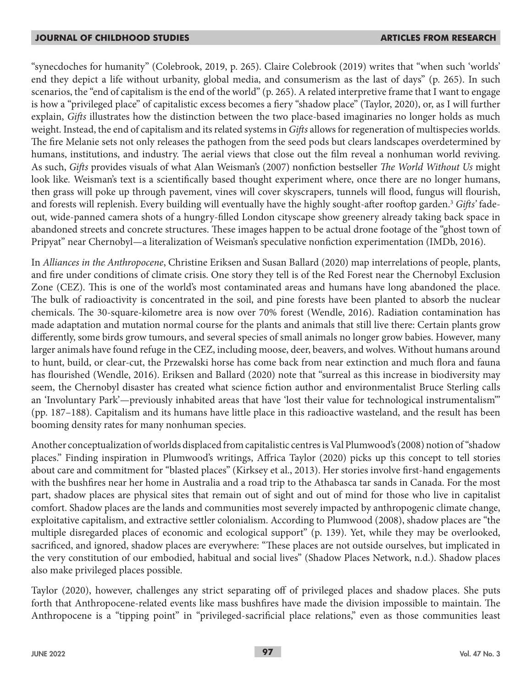"synecdoches for humanity" (Colebrook, 2019, p. 265). Claire Colebrook (2019) writes that "when such 'worlds' end they depict a life without urbanity, global media, and consumerism as the last of days" (p. 265). In such scenarios, the "end of capitalism is the end of the world" (p. 265). A related interpretive frame that I want to engage is how a "privileged place" of capitalistic excess becomes a fiery "shadow place" (Taylor, 2020), or, as I will further explain, *Gifts* illustrates how the distinction between the two place-based imaginaries no longer holds as much weight. Instead, the end of capitalism and its related systems in *Gifts* allows for regeneration of multispecies worlds. The fire Melanie sets not only releases the pathogen from the seed pods but clears landscapes overdetermined by humans, institutions, and industry. The aerial views that close out the film reveal a nonhuman world reviving. As such, *Gifts* provides visuals of what Alan Weisman's (2007) nonfiction bestseller *The World Without Us* might look like*.* Weisman's text is a scientifically based thought experiment where, once there are no longer humans, then grass will poke up through pavement, vines will cover skyscrapers, tunnels will flood, fungus will flourish, and forests will replenish. Every building will eventually have the highly sought-after rooftop garden.3 *Gifts'* fadeout*,* wide-panned camera shots of a hungry-filled London cityscape show greenery already taking back space in abandoned streets and concrete structures. These images happen to be actual drone footage of the "ghost town of Pripyat" near Chernobyl—a literalization of Weisman's speculative nonfiction experimentation (IMDb, 2016).

In *Alliances in the Anthropocene*, Christine Eriksen and Susan Ballard (2020) map interrelations of people, plants, and fire under conditions of climate crisis. One story they tell is of the Red Forest near the Chernobyl Exclusion Zone (CEZ). This is one of the world's most contaminated areas and humans have long abandoned the place. The bulk of radioactivity is concentrated in the soil, and pine forests have been planted to absorb the nuclear chemicals. The 30-square-kilometre area is now over 70% forest (Wendle, 2016). Radiation contamination has made adaptation and mutation normal course for the plants and animals that still live there: Certain plants grow differently, some birds grow tumours, and several species of small animals no longer grow babies. However, many larger animals have found refuge in the CEZ, including moose, deer, beavers, and wolves. Without humans around to hunt, build, or clear-cut, the Przewalski horse has come back from near extinction and much flora and fauna has flourished (Wendle, 2016). Eriksen and Ballard (2020) note that "surreal as this increase in biodiversity may seem, the Chernobyl disaster has created what science fiction author and environmentalist Bruce Sterling calls an 'Involuntary Park'—previously inhabited areas that have 'lost their value for technological instrumentalism'" (pp. 187–188). Capitalism and its humans have little place in this radioactive wasteland, and the result has been booming density rates for many nonhuman species.

Another conceptualization of worlds displaced from capitalistic centres is Val Plumwood's (2008) notion of "shadow places." Finding inspiration in Plumwood's writings, Affrica Taylor (2020) picks up this concept to tell stories about care and commitment for "blasted places" (Kirksey et al., 2013). Her stories involve first-hand engagements with the bushfires near her home in Australia and a road trip to the Athabasca tar sands in Canada. For the most part, shadow places are physical sites that remain out of sight and out of mind for those who live in capitalist comfort. Shadow places are the lands and communities most severely impacted by anthropogenic climate change, exploitative capitalism, and extractive settler colonialism. According to Plumwood (2008), shadow places are "the multiple disregarded places of economic and ecological support" (p. 139). Yet, while they may be overlooked, sacrificed, and ignored, shadow places are everywhere: "These places are not outside ourselves, but implicated in the very constitution of our embodied, habitual and social lives" (Shadow Places Network, n.d.). Shadow places also make privileged places possible.

Taylor (2020), however, challenges any strict separating off of privileged places and shadow places. She puts forth that Anthropocene-related events like mass bushfires have made the division impossible to maintain. The Anthropocene is a "tipping point" in "privileged-sacrificial place relations," even as those communities least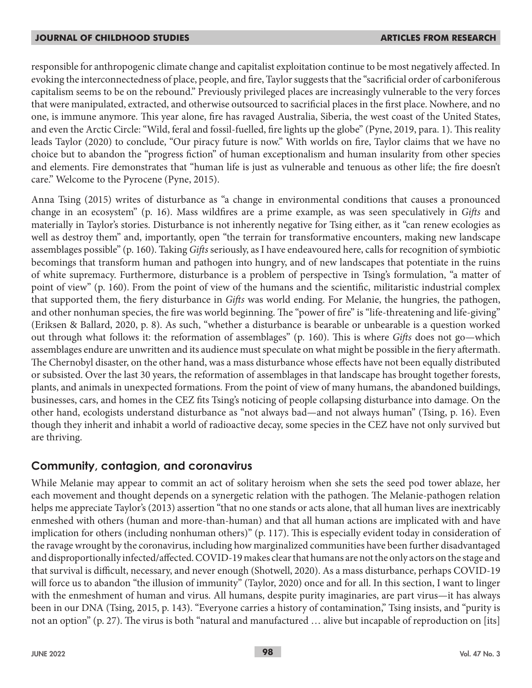responsible for anthropogenic climate change and capitalist exploitation continue to be most negatively affected. In evoking the interconnectedness of place, people, and fire, Taylor suggests that the "sacrificial order of carboniferous capitalism seems to be on the rebound." Previously privileged places are increasingly vulnerable to the very forces that were manipulated, extracted, and otherwise outsourced to sacrificial places in the first place. Nowhere, and no one, is immune anymore. This year alone, fire has ravaged Australia, Siberia, the west coast of the United States, and even the Arctic Circle: "Wild, feral and fossil-fuelled, fire lights up the globe" (Pyne, 2019, para. 1). This reality leads Taylor (2020) to conclude, "Our piracy future is now." With worlds on fire, Taylor claims that we have no choice but to abandon the "progress fiction" of human exceptionalism and human insularity from other species and elements. Fire demonstrates that "human life is just as vulnerable and tenuous as other life; the fire doesn't care." Welcome to the Pyrocene (Pyne, 2015).

Anna Tsing (2015) writes of disturbance as "a change in environmental conditions that causes a pronounced change in an ecosystem" (p. 16). Mass wildfires are a prime example, as was seen speculatively in *Gifts* and materially in Taylor's stories. Disturbance is not inherently negative for Tsing either, as it "can renew ecologies as well as destroy them" and, importantly, open "the terrain for transformative encounters, making new landscape assemblages possible" (p. 160). Taking *Gifts* seriously, as I have endeavoured here, calls for recognition of symbiotic becomings that transform human and pathogen into hungry, and of new landscapes that potentiate in the ruins of white supremacy. Furthermore, disturbance is a problem of perspective in Tsing's formulation, "a matter of point of view" (p. 160). From the point of view of the humans and the scientific, militaristic industrial complex that supported them, the fiery disturbance in *Gifts* was world ending. For Melanie, the hungries, the pathogen, and other nonhuman species, the fire was world beginning. The "power of fire" is "life-threatening and life-giving" (Eriksen & Ballard, 2020, p. 8). As such, "whether a disturbance is bearable or unbearable is a question worked out through what follows it: the reformation of assemblages" (p. 160). This is where *Gifts* does not go—which assemblages endure are unwritten and its audience must speculate on what might be possible in the fiery aftermath. The Chernobyl disaster, on the other hand, was a mass disturbance whose effects have not been equally distributed or subsisted. Over the last 30 years, the reformation of assemblages in that landscape has brought together forests, plants, and animals in unexpected formations. From the point of view of many humans, the abandoned buildings, businesses, cars, and homes in the CEZ fits Tsing's noticing of people collapsing disturbance into damage. On the other hand, ecologists understand disturbance as "not always bad—and not always human" (Tsing, p. 16). Even though they inherit and inhabit a world of radioactive decay, some species in the CEZ have not only survived but are thriving.

## **Community, contagion, and coronavirus**

While Melanie may appear to commit an act of solitary heroism when she sets the seed pod tower ablaze, her each movement and thought depends on a synergetic relation with the pathogen. The Melanie-pathogen relation helps me appreciate Taylor's (2013) assertion "that no one stands or acts alone, that all human lives are inextricably enmeshed with others (human and more-than-human) and that all human actions are implicated with and have implication for others (including nonhuman others)" (p. 117). This is especially evident today in consideration of the ravage wrought by the coronavirus, including how marginalized communities have been further disadvantaged and disproportionally infected/affected. COVID-19 makes clear that humans are not the only actors on the stage and that survival is difficult, necessary, and never enough (Shotwell, 2020). As a mass disturbance, perhaps COVID-19 will force us to abandon "the illusion of immunity" (Taylor, 2020) once and for all. In this section, I want to linger with the enmeshment of human and virus. All humans, despite purity imaginaries, are part virus—it has always been in our DNA (Tsing, 2015, p. 143). "Everyone carries a history of contamination," Tsing insists, and "purity is not an option" (p. 27). The virus is both "natural and manufactured … alive but incapable of reproduction on [its]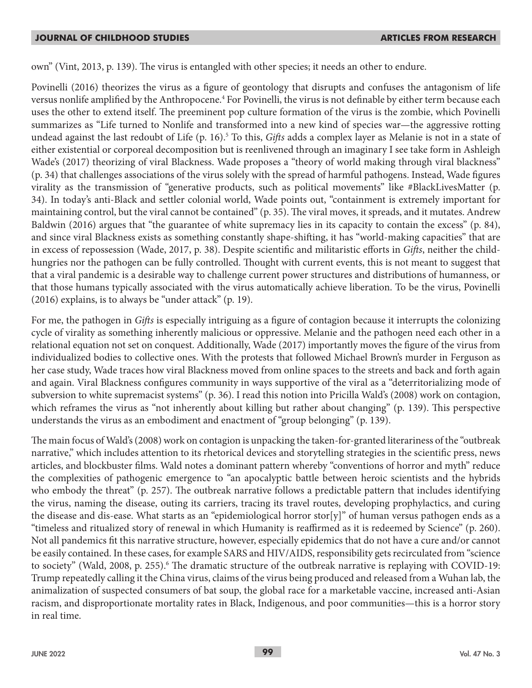own" (Vint, 2013, p. 139). The virus is entangled with other species; it needs an other to endure.

Povinelli (2016) theorizes the virus as a figure of geontology that disrupts and confuses the antagonism of life versus nonlife amplified by the Anthropocene.<sup>4</sup> For Povinelli, the virus is not definable by either term because each uses the other to extend itself. The preeminent pop culture formation of the virus is the zombie, which Povinelli summarizes as "Life turned to Nonlife and transformed into a new kind of species war—the aggressive rotting undead against the last redoubt of Life (p. 16).5 To this, *Gifts* adds a complex layer as Melanie is not in a state of either existential or corporeal decomposition but is reenlivened through an imaginary I see take form in Ashleigh Wade's (2017) theorizing of viral Blackness. Wade proposes a "theory of world making through viral blackness" (p. 34) that challenges associations of the virus solely with the spread of harmful pathogens. Instead, Wade figures virality as the transmission of "generative products, such as political movements" like #BlackLivesMatter (p. 34). In today's anti-Black and settler colonial world, Wade points out, "containment is extremely important for maintaining control, but the viral cannot be contained" (p. 35). The viral moves, it spreads, and it mutates. Andrew Baldwin (2016) argues that "the guarantee of white supremacy lies in its capacity to contain the excess" (p. 84), and since viral Blackness exists as something constantly shape-shifting, it has "world-making capacities" that are in excess of repossession (Wade, 2017, p. 38). Despite scientific and militaristic efforts in *Gifts*, neither the childhungries nor the pathogen can be fully controlled. Thought with current events, this is not meant to suggest that that a viral pandemic is a desirable way to challenge current power structures and distributions of humanness, or that those humans typically associated with the virus automatically achieve liberation. To be the virus, Povinelli (2016) explains, is to always be "under attack" (p. 19).

For me, the pathogen in *Gifts* is especially intriguing as a figure of contagion because it interrupts the colonizing cycle of virality as something inherently malicious or oppressive. Melanie and the pathogen need each other in a relational equation not set on conquest. Additionally, Wade (2017) importantly moves the figure of the virus from individualized bodies to collective ones. With the protests that followed Michael Brown's murder in Ferguson as her case study, Wade traces how viral Blackness moved from online spaces to the streets and back and forth again and again. Viral Blackness configures community in ways supportive of the viral as a "deterritorializing mode of subversion to white supremacist systems" (p. 36). I read this notion into Pricilla Wald's (2008) work on contagion, which reframes the virus as "not inherently about killing but rather about changing" (p. 139). This perspective understands the virus as an embodiment and enactment of "group belonging" (p. 139).

The main focus of Wald's (2008) work on contagion is unpacking the taken-for-granted literariness of the "outbreak narrative," which includes attention to its rhetorical devices and storytelling strategies in the scientific press, news articles, and blockbuster films. Wald notes a dominant pattern whereby "conventions of horror and myth" reduce the complexities of pathogenic emergence to "an apocalyptic battle between heroic scientists and the hybrids who embody the threat" (p. 257). The outbreak narrative follows a predictable pattern that includes identifying the virus, naming the disease, outing its carriers, tracing its travel routes, developing prophylactics, and curing the disease and dis-ease. What starts as an "epidemiological horror stor[y]" of human versus pathogen ends as a "timeless and ritualized story of renewal in which Humanity is reaffirmed as it is redeemed by Science" (p. 260). Not all pandemics fit this narrative structure, however, especially epidemics that do not have a cure and/or cannot be easily contained. In these cases, for example SARS and HIV/AIDS, responsibility gets recirculated from "science to society" (Wald, 2008, p. 255).<sup>6</sup> The dramatic structure of the outbreak narrative is replaying with COVID-19: Trump repeatedly calling it the China virus, claims of the virus being produced and released from a Wuhan lab, the animalization of suspected consumers of bat soup, the global race for a marketable vaccine, increased anti-Asian racism, and disproportionate mortality rates in Black, Indigenous, and poor communities—this is a horror story in real time.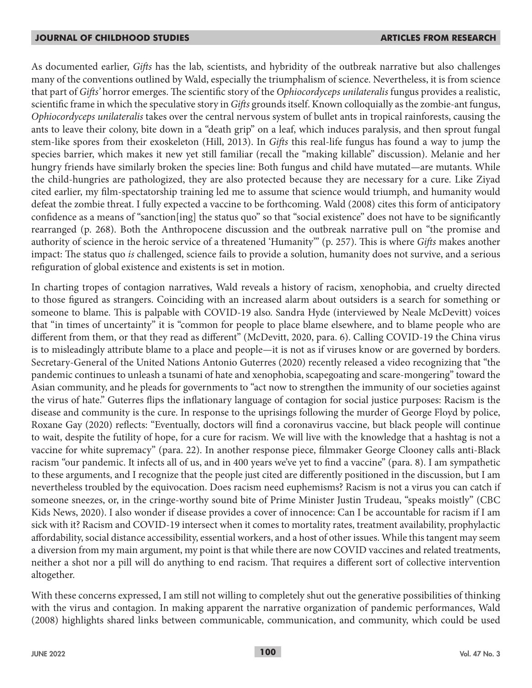As documented earlier, *Gifts* has the lab, scientists, and hybridity of the outbreak narrative but also challenges many of the conventions outlined by Wald, especially the triumphalism of science. Nevertheless, it is from science that part of *Gifts'* horror emerges. The scientific story of the *Ophiocordyceps unilateralis* fungus provides a realistic, scientific frame in which the speculative story in *Gifts* grounds itself. Known colloquially as the zombie-ant fungus, *Ophiocordyceps unilateralis* takes over the central nervous system of bullet ants in tropical rainforests, causing the ants to leave their colony, bite down in a "death grip" on a leaf, which induces paralysis, and then sprout fungal stem-like spores from their exoskeleton (Hill, 2013). In *Gifts* this real-life fungus has found a way to jump the species barrier, which makes it new yet still familiar (recall the "making killable" discussion). Melanie and her hungry friends have similarly broken the species line: Both fungus and child have mutated—are mutants. While the child-hungries are pathologized, they are also protected because they are necessary for a cure. Like Ziyad cited earlier, my film-spectatorship training led me to assume that science would triumph, and humanity would defeat the zombie threat. I fully expected a vaccine to be forthcoming. Wald (2008) cites this form of anticipatory confidence as a means of "sanction[ing] the status quo" so that "social existence" does not have to be significantly rearranged (p. 268). Both the Anthropocene discussion and the outbreak narrative pull on "the promise and authority of science in the heroic service of a threatened 'Humanity'" (p. 257). This is where *Gifts* makes another impact: The status quo *is* challenged, science fails to provide a solution, humanity does not survive, and a serious refiguration of global existence and existents is set in motion.

In charting tropes of contagion narratives, Wald reveals a history of racism, xenophobia, and cruelty directed to those figured as strangers. Coinciding with an increased alarm about outsiders is a search for something or someone to blame. This is palpable with COVID-19 also. Sandra Hyde (interviewed by Neale McDevitt) voices that "in times of uncertainty" it is "common for people to place blame elsewhere, and to blame people who are different from them, or that they read as different" (McDevitt, 2020, para. 6). Calling COVID-19 the China virus is to misleadingly attribute blame to a place and people—it is not as if viruses know or are governed by borders. Secretary-General of the United Nations Antonio Guterres (2020) recently released a video recognizing that "the pandemic continues to unleash a tsunami of hate and xenophobia, scapegoating and scare-mongering" toward the Asian community, and he pleads for governments to "act now to strengthen the immunity of our societies against the virus of hate." Guterres flips the inflationary language of contagion for social justice purposes: Racism is the disease and community is the cure. In response to the uprisings following the murder of George Floyd by police, Roxane Gay (2020) reflects: "Eventually, doctors will find a coronavirus vaccine, but black people will continue to wait, despite the futility of hope, for a cure for racism. We will live with the knowledge that a hashtag is not a vaccine for white supremacy" (para. 22). In another response piece, filmmaker George Clooney calls anti-Black racism "our pandemic. It infects all of us, and in 400 years we've yet to find a vaccine" (para. 8). I am sympathetic to these arguments, and I recognize that the people just cited are differently positioned in the discussion, but I am nevertheless troubled by the equivocation. Does racism need euphemisms? Racism is not a virus you can catch if someone sneezes, or, in the cringe-worthy sound bite of Prime Minister Justin Trudeau, "speaks moistly" (CBC Kids News, 2020). I also wonder if disease provides a cover of innocence: Can I be accountable for racism if I am sick with it? Racism and COVID-19 intersect when it comes to mortality rates, treatment availability, prophylactic affordability, social distance accessibility, essential workers, and a host of other issues. While this tangent may seem a diversion from my main argument, my point is that while there are now COVID vaccines and related treatments, neither a shot nor a pill will do anything to end racism. That requires a different sort of collective intervention altogether.

With these concerns expressed, I am still not willing to completely shut out the generative possibilities of thinking with the virus and contagion. In making apparent the narrative organization of pandemic performances, Wald (2008) highlights shared links between communicable, communication, and community, which could be used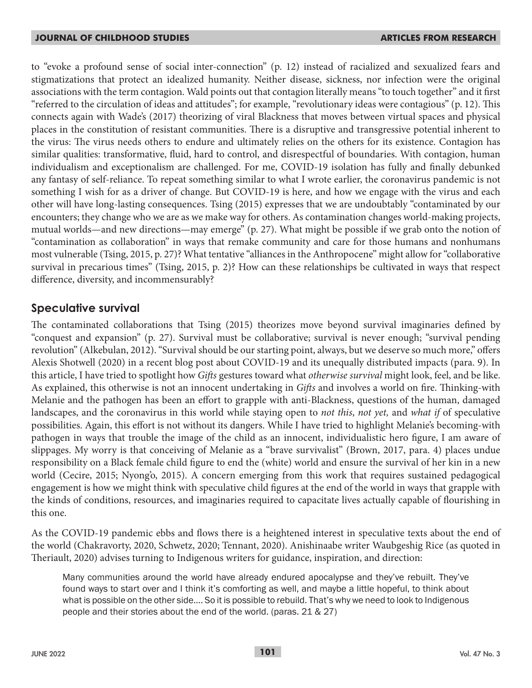to "evoke a profound sense of social inter-connection" (p. 12) instead of racialized and sexualized fears and stigmatizations that protect an idealized humanity. Neither disease, sickness, nor infection were the original associations with the term contagion. Wald points out that contagion literally means "to touch together" and it first "referred to the circulation of ideas and attitudes"; for example, "revolutionary ideas were contagious" (p. 12). This connects again with Wade's (2017) theorizing of viral Blackness that moves between virtual spaces and physical places in the constitution of resistant communities. There is a disruptive and transgressive potential inherent to the virus: The virus needs others to endure and ultimately relies on the others for its existence. Contagion has similar qualities: transformative, fluid, hard to control, and disrespectful of boundaries. With contagion, human individualism and exceptionalism are challenged. For me, COVID-19 isolation has fully and finally debunked any fantasy of self-reliance. To repeat something similar to what I wrote earlier, the coronavirus pandemic is not something I wish for as a driver of change. But COVID-19 is here, and how we engage with the virus and each other will have long-lasting consequences. Tsing (2015) expresses that we are undoubtably "contaminated by our encounters; they change who we are as we make way for others. As contamination changes world-making projects, mutual worlds—and new directions—may emerge" (p. 27). What might be possible if we grab onto the notion of "contamination as collaboration" in ways that remake community and care for those humans and nonhumans most vulnerable (Tsing, 2015, p. 27)? What tentative "alliances in the Anthropocene" might allow for "collaborative survival in precarious times" (Tsing, 2015, p. 2)? How can these relationships be cultivated in ways that respect difference, diversity, and incommensurably?

## **Speculative survival**

The contaminated collaborations that Tsing (2015) theorizes move beyond survival imaginaries defined by "conquest and expansion" (p. 27). Survival must be collaborative; survival is never enough; "survival pending revolution" (Alkebulan, 2012). "Survival should be our starting point, always, but we deserve so much more," offers Alexis Shotwell (2020) in a recent blog post about COVID-19 and its unequally distributed impacts (para. 9). In this article, I have tried to spotlight how *Gifts* gestures toward what *otherwise survival* might look, feel, and be like. As explained, this otherwise is not an innocent undertaking in *Gifts* and involves a world on fire. Thinking-with Melanie and the pathogen has been an effort to grapple with anti-Blackness, questions of the human, damaged landscapes, and the coronavirus in this world while staying open to *not this*, *not yet,* and *what if* of speculative possibilities. Again, this effort is not without its dangers. While I have tried to highlight Melanie's becoming-with pathogen in ways that trouble the image of the child as an innocent, individualistic hero figure, I am aware of slippages. My worry is that conceiving of Melanie as a "brave survivalist" (Brown, 2017, para. 4) places undue responsibility on a Black female child figure to end the (white) world and ensure the survival of her kin in a new world (Cecire, 2015; Nyong'o, 2015). A concern emerging from this work that requires sustained pedagogical engagement is how we might think with speculative child figures at the end of the world in ways that grapple with the kinds of conditions, resources, and imaginaries required to capacitate lives actually capable of flourishing in this one.

As the COVID-19 pandemic ebbs and flows there is a heightened interest in speculative texts about the end of the world (Chakravorty, 2020, Schwetz, 2020; Tennant, 2020). Anishinaabe writer Waubgeshig Rice (as quoted in Theriault, 2020) advises turning to Indigenous writers for guidance, inspiration, and direction:

Many communities around the world have already endured apocalypse and they've rebuilt. They've found ways to start over and I think it's comforting as well, and maybe a little hopeful, to think about what is possible on the other side…. So it is possible to rebuild. That's why we need to look to Indigenous people and their stories about the end of the world. (paras. 21 & 27)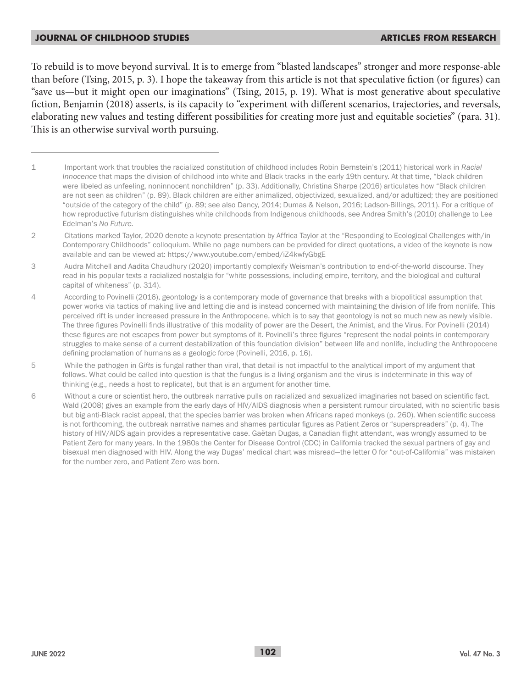To rebuild is to move beyond survival. It is to emerge from "blasted landscapes" stronger and more response-able than before (Tsing, 2015, p. 3). I hope the takeaway from this article is not that speculative fiction (or figures) can "save us—but it might open our imaginations" (Tsing, 2015, p. 19). What is most generative about speculative fiction, Benjamin (2018) asserts, is its capacity to "experiment with different scenarios, trajectories, and reversals, elaborating new values and testing different possibilities for creating more just and equitable societies" (para. 31). This is an otherwise survival worth pursuing.

- 1 Important work that troubles the racialized constitution of childhood includes Robin Bernstein's (2011) historical work in *Racial Innocence* that maps the division of childhood into white and Black tracks in the early 19th century. At that time, "black children were libeled as unfeeling, noninnocent nonchildren" (p. 33). Additionally, Christina Sharpe (2016) articulates how "Black children are not seen as children" (p. 89). Black children are either animalized, objectivized, sexualized, and/or adultized; they are positioned "outside of the category of the child" (p. 89; see also Dancy, 2014; Dumas & Nelson, 2016; Ladson-Billings, 2011). For a critique of how reproductive futurism distinguishes white childhoods from Indigenous childhoods, see Andrea Smith's (2010) challenge to Lee Edelman's *No Future.*
- 2 Citations marked Taylor, 2020 denote a keynote presentation by Affrica Taylor at the "Responding to Ecological Challenges with/in Contemporary Childhoods" colloquium. While no page numbers can be provided for direct quotations, a video of the keynote is now available and can be viewed at: https://www.youtube.com/embed/iZ4kwfyGbgE
- 3 Audra Mitchell and Aadita Chaudhury (2020) importantly complexify Weisman's contribution to end-of-the-world discourse. They read in his popular texts a racialized nostalgia for "white possessions, including empire, territory, and the biological and cultural capital of whiteness" (p. 314).
- 4 According to Povinelli (2016), geontology is a contemporary mode of governance that breaks with a biopolitical assumption that power works via tactics of making live and letting die and is instead concerned with maintaining the division of life from nonlife. This perceived rift is under increased pressure in the Anthropocene, which is to say that geontology is not so much new as newly visible. The three figures Povinelli finds illustrative of this modality of power are the Desert, the Animist, and the Virus. For Povinelli (2014) these figures are not escapes from power but symptoms of it. Povinelli's three figures "represent the nodal points in contemporary struggles to make sense of a current destabilization of this foundation division" between life and nonlife, including the Anthropocene defining proclamation of humans as a geologic force (Povinelli, 2016, p. 16).
- 5 While the pathogen in *Gifts* is fungal rather than viral, that detail is not impactful to the analytical import of my argument that follows. What could be called into question is that the fungus is a living organism and the virus is indeterminate in this way of thinking (e.g., needs a host to replicate), but that is an argument for another time.
- 6 Without a cure or scientist hero, the outbreak narrative pulls on racialized and sexualized imaginaries not based on scientific fact. Wald (2008) gives an example from the early days of HIV/AIDS diagnosis when a persistent rumour circulated, with no scientific basis but big anti-Black racist appeal, that the species barrier was broken when Africans raped monkeys (p. 260). When scientific success is not forthcoming, the outbreak narrative names and shames particular figures as Patient Zeros or "superspreaders" (p. 4). The history of HIV/AIDS again provides a representative case. Gaëtan Dugas, a Canadian flight attendant, was wrongly assumed to be Patient Zero for many years. In the 1980s the Center for Disease Control (CDC) in California tracked the sexual partners of gay and bisexual men diagnosed with HIV. Along the way Dugas' medical chart was misread—the letter O for "out-of-California" was mistaken for the number zero, and Patient Zero was born.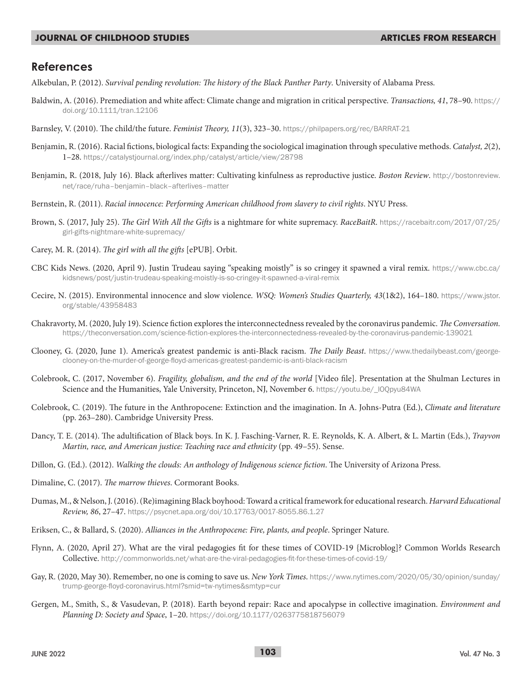### **References**

- Alkebulan, P. (2012). *Survival pending revolution: The history of the Black Panther Party*. University of Alabama Press.
- Baldwin, A. (2016). Premediation and white affect: Climate change and migration in critical perspective. *Transactions, 41*, 78–90. https:// doi.org/10.1111/tran.12106
- Barnsley, V. (2010). The child/the future. *Feminist Theory, 11*(3), 323–30. https://philpapers.org/rec/BARRAT-21
- Benjamin, R. (2016). Racial fictions, biological facts: Expanding the sociological imagination through speculative methods. *Catalyst, 2*(2), 1–28. https://catalystjournal.org/index.php/catalyst/article/view/28798
- Benjamin, R. (2018, July 16). Black afterlives matter: Cultivating kinfulness as reproductive justice. *Boston Review*. http://bostonreview. net/race/ruha–benjamin–black–afterlives–matter
- Bernstein, R. (2011). *Racial innocence: Performing American childhood from slavery to civil rights*. NYU Press.
- Brown, S. (2017, July 25). *The Girl With All the Gifts* is a nightmare for white supremacy. *RaceBaitR*. https://racebaitr.com/2017/07/25/ girl-gifts-nightmare-white-supremacy/
- Carey, M. R. (2014). *The girl with all the gifts* [ePUB]. Orbit.
- CBC Kids News. (2020, April 9). Justin Trudeau saying "speaking moistly" is so cringey it spawned a viral remix. https://www.cbc.ca/ kidsnews/post/justin-trudeau-speaking-moistly-is-so-cringey-it-spawned-a-viral-remix
- Cecire, N. (2015). Environmental innocence and slow violence. *WSQ: Women's Studies Quarterly, 43*(1&2), 164–180. https://www.jstor. org/stable/43958483
- Chakravorty, M. (2020, July 19). Science fiction explores the interconnectedness revealed by the coronavirus pandemic. *The Conversation.*  https://theconversation.com/science-fiction-explores-the-interconnectedness-revealed-by-the-coronavirus-pandemic-139021
- Clooney, G. (2020, June 1). America's greatest pandemic is anti-Black racism. *The Daily Beast*. https://www.thedailybeast.com/georgeclooney-on-the-murder-of-george-floyd-americas-greatest-pandemic-is-anti-black-racism
- Colebrook, C. (2017, November 6). *Fragility, globalism, and the end of the world* [Video file]. Presentation at the Shulman Lectures in Science and the Humanities, Yale University, Princeton, NJ, November 6. https://youtu.be/ 100pyu84WA
- Colebrook, C. (2019). The future in the Anthropocene: Extinction and the imagination. In A. Johns-Putra (Ed.), *Climate and literature* (pp. 263–280). Cambridge University Press.
- Dancy, T. E. (2014). The adultification of Black boys. In K. J. Fasching-Varner, R. E. Reynolds, K. A. Albert, & L. Martin (Eds.), *Trayvon Martin, race, and American justice: Teaching race and ethnicity* (pp. 49–55). Sense.
- Dillon, G. (Ed.). (2012). *Walking the clouds: An anthology of Indigenous science fiction*. The University of Arizona Press.
- Dimaline, C. (2017). *The marrow thieves*. Cormorant Books.
- Dumas, M., & Nelson, J. (2016). (Re)imagining Black boyhood: Toward a critical framework for educational research. *Harvard Educational Review, 86*, 27–47. https://psycnet.apa.org/doi/10.17763/0017-8055.86.1.27
- Eriksen, C., & Ballard, S. (2020). *Alliances in the Anthropocene: Fire, plants, and people*. Springer Nature.
- Flynn, A. (2020, April 27). What are the viral pedagogies fit for these times of COVID-19 {Microblog]? Common Worlds Research Collective. http://commonworlds.net/what-are-the-viral-pedagogies-fit-for-these-times-of-covid-19/
- Gay, R. (2020, May 30). Remember, no one is coming to save us. *New York Times*. https://www.nytimes.com/2020/05/30/opinion/sunday/ trump-george-floyd-coronavirus.html?smid=tw-nytimes&smtyp=cur
- Gergen, M., Smith, S., & Vasudevan, P. (2018). Earth beyond repair: Race and apocalypse in collective imagination. *Environment and Planning D: Society and Space*, 1–20. https://doi.org/10.1177/0263775818756079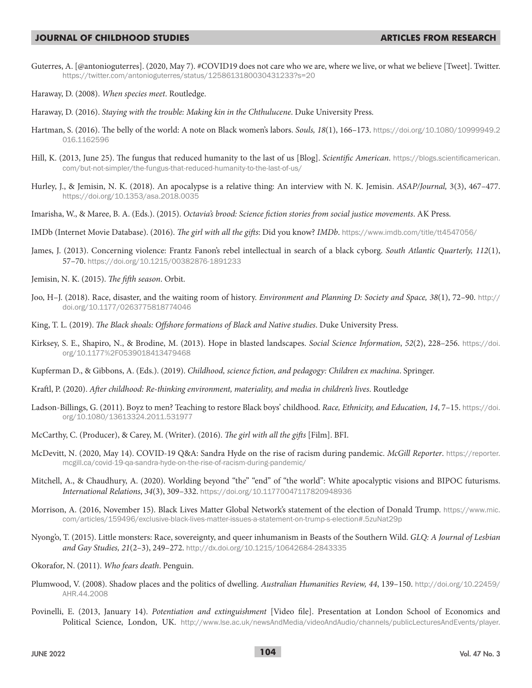Guterres, A. [@antonioguterres]. (2020, May 7). #COVID19 does not care who we are, where we live, or what we believe [Tweet]. Twitter. https://twitter.com/antonioguterres/status/1258613180030431233?s=20

Haraway, D. (2008). *When species meet*. Routledge.

- Haraway, D. (2016). *Staying with the trouble: Making kin in the Chthulucene*. Duke University Press.
- Hartman, S. (2016). The belly of the world: A note on Black women's labors. *Souls, 18*(1), 166–173. https://doi.org/10.1080/10999949.2 016.1162596
- Hill, K. (2013, June 25). The fungus that reduced humanity to the last of us [Blog]. *Scientific American*. https://blogs.scientificamerican. com/but-not-simpler/the-fungus-that-reduced-humanity-to-the-last-of-us/
- Hurley, J., & Jemisin, N. K. (2018). An apocalypse is a relative thing: An interview with N. K. Jemisin. *ASAP/Journal,* 3(3), 467–477. https://doi.org/10.1353/asa.2018.0035
- Imarisha, W., & Maree, B. A. (Eds.). (2015). *Octavia's brood: Science fiction stories from social justice movements*. AK Press.
- IMDb (Internet Movie Database). (2016). *The girl with all the gifts*: Did you know? *IMDb*. https://www.imdb.com/title/tt4547056/
- James, J. (2013). Concerning violence: Frantz Fanon's rebel intellectual in search of a black cyborg. *South Atlantic Quarterly, 112*(1), 57–70. https://doi.org/10.1215/00382876-1891233
- Jemisin, N. K. (2015). *The fifth season*. Orbit.
- Joo, H–J. (2018). Race, disaster, and the waiting room of history. *Environment and Planning D: Society and Space, 38*(1), 72–90. http:// doi.org/10.1177/0263775818774046
- King, T. L. (2019). *The Black shoals: Offshore formations of Black and Native studies*. Duke University Press.
- Kirksey, S. E., Shapiro, N., & Brodine, M. (2013). Hope in blasted landscapes. *Social Science Information*, *52*(2), 228–256. https://doi. org/10.1177%2F0539018413479468
- Kupferman D., & Gibbons, A. (Eds.). (2019). *Childhood, science fiction, and pedagogy: Children ex machina*. Springer.
- Kraftl, P. (2020). *After childhood: Re-thinking environment, materiality, and media in children's lives*. Routledge
- Ladson-Billings, G. (2011). Boyz to men? Teaching to restore Black boys' childhood. *Race, Ethnicity, and Education, 14*, 7–15. https://doi. org/10.1080/13613324.2011.531977
- McCarthy, C. (Producer), & Carey, M. (Writer). (2016). *The girl with all the gifts* [Film]. BFI.
- McDevitt, N. (2020, May 14). COVID-19 Q&A: Sandra Hyde on the rise of racism during pandemic. *McGill Reporter*. https://reporter. mcgill.ca/covid-19-qa-sandra-hyde-on-the-rise-of-racism-during-pandemic/
- Mitchell, A., & Chaudhury, A. (2020). Worlding beyond "the" "end" of "the world": White apocalyptic visions and BIPOC futurisms. *International Relations*, *34*(3), 309–332. https://doi.org/10.11770047117820948936
- Morrison, A. (2016, November 15). Black Lives Matter Global Network's statement of the election of Donald Trump. https://www.mic. com/articles/159496/exclusive-black-lives-matter-issues-a-statement-on-trump-s-election#.5zuNat29p
- Nyong'o, T. (2015). Little monsters: Race, sovereignty, and queer inhumanism in Beasts of the Southern Wild. *GLQ: A Journal of Lesbian and Gay Studies, 21*(2–3), 249–272. http://dx.doi.org/10.1215/10642684-2843335
- Okorafor, N. (2011). *Who fears death*. Penguin.
- Plumwood, V. (2008). Shadow places and the politics of dwelling. *Australian Humanities Review, 44*, 139–150. http://doi.org/10.22459/ AHR.44.2008
- Povinelli, E. (2013, January 14). *Potentiation and extinguishment* [Video file]. Presentation at London School of Economics and Political Science, London, UK. http://www.lse.ac.uk/newsAndMedia/videoAndAudio/channels/publicLecturesAndEvents/player.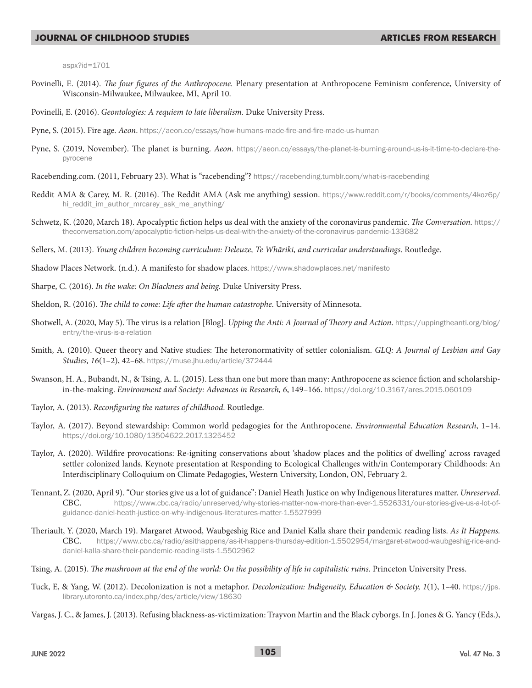aspx?id=1701

- Povinelli, E. (2014). *The four figures of the Anthropocene.* Plenary presentation at Anthropocene Feminism conference, University of Wisconsin-Milwaukee, Milwaukee, MI, April 10.
- Povinelli, E. (2016). *Geontologies: A requiem to late liberalism*. Duke University Press.
- Pyne, S. (2015). Fire age. *Aeon*. https://aeon.co/essays/how-humans-made-fire-and-fire-made-us-human
- Pyne, S. (2019, November). The planet is burning. *Aeon*. https://aeon.co/essays/the-planet-is-burning-around-us-is-it-time-to-declare-thepyrocene
- Racebending.com. (2011, February 23). What is "racebending"? https://racebending.tumblr.com/what-is-racebending
- Reddit AMA & Carey, M. R. (2016). The Reddit AMA (Ask me anything) session. https://www.reddit.com/r/books/comments/4koz6p/ hi\_reddit\_im\_author\_mrcarey\_ask\_me\_anything/
- Schwetz, K. (2020, March 18). Apocalyptic fiction helps us deal with the anxiety of the coronavirus pandemic. *The Conversation.* https:// theconversation.com/apocalyptic-fiction-helps-us-deal-with-the-anxiety-of-the-coronavirus-pandemic-133682
- Sellers, M. (2013). *Young children becoming curriculum: Deleuze, Te Whāriki, and curricular understandings*. Routledge.
- Shadow Places Network. (n.d.). A manifesto for shadow places. https://www.shadowplaces.net/manifesto
- Sharpe, C. (2016). *In the wake: On Blackness and being*. Duke University Press.
- Sheldon, R. (2016). *The child to come: Life after the human catastrophe*. University of Minnesota.
- Shotwell, A. (2020, May 5). The virus is a relation [Blog]. *Upping the Anti: A Journal of Theory and Action*. https://uppingtheanti.org/blog/ entry/the-virus-is-a-relation
- Smith, A. (2010). Queer theory and Native studies: The heteronormativity of settler colonialism. *GLQ: A Journal of Lesbian and Gay Studies, 16*(1–2), 42–68. https://muse.jhu.edu/article/372444
- Swanson, H. A., Bubandt, N., & Tsing, A. L. (2015). Less than one but more than many: Anthropocene as science fiction and scholarshipin-the-making. *Environment and Society: Advances in Research, 6*, 149–166. https://doi.org/10.3167/ares.2015.060109
- Taylor, A. (2013). *Reconfiguring the natures of childhood*. Routledge.
- Taylor, A. (2017). Beyond stewardship: Common world pedagogies for the Anthropocene. *Environmental Education Research*, 1–14. https://doi.org/10.1080/13504622.2017.1325452
- Taylor, A. (2020). Wildfire provocations: Re-igniting conservations about 'shadow places and the politics of dwelling' across ravaged settler colonized lands. Keynote presentation at Responding to Ecological Challenges with/in Contemporary Childhoods: An Interdisciplinary Colloquium on Climate Pedagogies, Western University, London, ON, February 2.
- Tennant, Z. (2020, April 9). "Our stories give us a lot of guidance": Daniel Heath Justice on why Indigenous literatures matter. *Unreserved*. CBC. https://www.cbc.ca/radio/unreserved/why-stories-matter-now-more-than-ever-1.5526331/our-stories-give-us-a-lot-ofguidance-daniel-heath-justice-on-why-indigenous-literatures-matter-1.5527999
- Theriault, Y. (2020, March 19). Margaret Atwood, Waubgeshig Rice and Daniel Kalla share their pandemic reading lists. *As It Happens.*  CBC. https://www.cbc.ca/radio/asithappens/as-it-happens-thursday-edition-1.5502954/margaret-atwood-waubgeshig-rice-anddaniel-kalla-share-their-pandemic-reading-lists-1.5502962
- Tsing, A. (2015). *The mushroom at the end of the world: On the possibility of life in capitalistic ruins*. Princeton University Press.
- Tuck, E, & Yang, W. (2012). Decolonization is not a metaphor. *Decolonization: Indigeneity, Education & Society, 1*(1), 1–40. https://jps. library.utoronto.ca/index.php/des/article/view/18630
- Vargas, J. C., & James, J. (2013). Refusing blackness-as-victimization: Trayvon Martin and the Black cyborgs. In J. Jones & G. Yancy (Eds.),